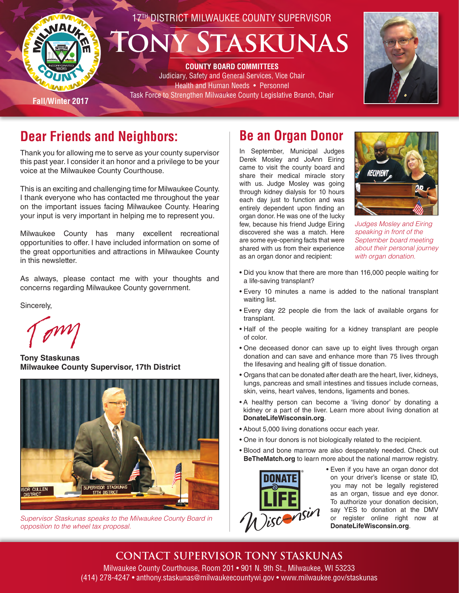

## **Dear Friends and Neighbors:**

Thank you for allowing me to serve as your county supervisor this past year. I consider it an honor and a privilege to be your voice at the Milwaukee County Courthouse.

This is an exciting and challenging time for Milwaukee County. I thank everyone who has contacted me throughout the year on the important issues facing Milwaukee County. Hearing your input is very important in helping me to represent you.

Milwaukee County has many excellent recreational opportunities to offer. I have included information on some of the great opportunities and attractions in Milwaukee County in this newsletter.

As always, please contact me with your thoughts and concerns regarding Milwaukee County government.

Sincerely,

**Tony Staskunas Milwaukee County Supervisor, 17th District**



*Supervisor Staskunas speaks to the Milwaukee County Board in opposition to the wheel tax proposal.*

## **Be an Organ Donor**

In September, Municipal Judges Derek Mosley and JoAnn Eiring came to visit the county board and share their medical miracle story with us. Judge Mosley was going through kidney dialysis for 10 hours each day just to function and was entirely dependent upon finding an organ donor. He was one of the lucky few, because his friend Judge Eiring discovered she was a match. Here are some eye-opening facts that were shared with us from their experience as an organ donor and recipient:



*Judges Mosley and Eiring speaking in front of the September board meeting about their personal journey with organ donation.*

- Did you know that there are more than 116,000 people waiting for a life-saving transplant?
- Every 10 minutes a name is added to the national transplant waiting list.
- Every day 22 people die from the lack of available organs for transplant.
- Half of the people waiting for a kidney transplant are people of color.
- One deceased donor can save up to eight lives through organ donation and can save and enhance more than 75 lives through the lifesaving and healing gift of tissue donation.
- Organs that can be donated after death are the heart, liver, kidneys, lungs, pancreas and small intestines and tissues include corneas, skin, veins, heart valves, tendons, ligaments and bones.
- A healthy person can become a 'living donor' by donating a kidney or a part of the liver. Learn more about living donation at **DonateLifeWisconsin.org**.
- About 5,000 living donations occur each year.
- One in four donors is not biologically related to the recipient.
- Blood and bone marrow are also desperately needed. Check out **BeTheMatch.org** to learn more about the national marrow registry.



• Even if you have an organ donor dot on your driver's license or state ID, you may not be legally registered as an organ, tissue and eye donor. To authorize your donation decision, say YES to donation at the DMV or register online right now at **DonateLifeWisconsin.org**.

### **CONTACT SUPERVISOR TONY STASKUNAS**

Milwaukee County Courthouse, Room 201 • 901 N. 9th St., Milwaukee, WI 53233 (414) 278-4247 • anthony.staskunas@milwaukeecountywi.gov • www.milwaukee.gov/staskunas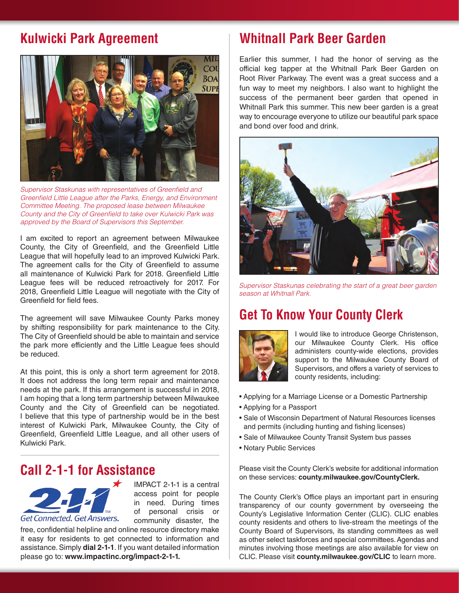## **Kulwicki Park Agreement**



*Supervisor Staskunas with representatives of Greenfield and Greenfield Little League after the Parks, Energy, and Environment Committee Meeting. The proposed lease between Milwaukee County and the City of Greenfield to take over Kulwicki Park was approved by the Board of Supervisors this September.*

I am excited to report an agreement between Milwaukee County, the City of Greenfield, and the Greenfield Little League that will hopefully lead to an improved Kulwicki Park. The agreement calls for the City of Greenfield to assume all maintenance of Kulwicki Park for 2018. Greenfield Little League fees will be reduced retroactively for 2017. For 2018, Greenfield Little League will negotiate with the City of Greenfield for field fees.

The agreement will save Milwaukee County Parks money by shifting responsibility for park maintenance to the City. The City of Greenfield should be able to maintain and service the park more efficiently and the Little League fees should be reduced.

At this point, this is only a short term agreement for 2018. It does not address the long term repair and maintenance needs at the park. If this arrangement is successful in 2018, I am hoping that a long term partnership between Milwaukee County and the City of Greenfield can be negotiated. I believe that this type of partnership would be in the best interest of Kulwicki Park, Milwaukee County, the City of Greenfield, Greenfield Little League, and all other users of Kulwicki Park.

### **Call 2-1-1 for Assistance**



IMPACT 2-1-1 is a central access point for people in need. During times of personal crisis or community disaster, the

free, confidential helpline and online resource directory make it easy for residents to get connected to information and assistance. Simply **dial 2-1-1**. If you want detailed information please go to: **www.impactinc.org/impact-2-1-1.**

### **Whitnall Park Beer Garden**

Earlier this summer, I had the honor of serving as the official keg tapper at the Whitnall Park Beer Garden on Root River Parkway. The event was a great success and a fun way to meet my neighbors. I also want to highlight the success of the permanent beer garden that opened in Whitnall Park this summer. This new beer garden is a great way to encourage everyone to utilize our beautiful park space and bond over food and drink.



*Supervisor Staskunas celebrating the start of a great beer garden season at Whitnall Park.*

### **Get To Know Your County Clerk**



I would like to introduce George Christenson, our Milwaukee County Clerk. His office administers county-wide elections, provides support to the Milwaukee County Board of Supervisors, and offers a variety of services to county residents, including:

- Applying for a Marriage License or a Domestic Partnership
- Applying for a Passport
- Sale of Wisconsin Department of Natural Resources licenses and permits (including hunting and fishing licenses)
- Sale of Milwaukee County Transit System bus passes
- Notary Public Services

Please visit the County Clerk's website for additional information on these services: **county.milwaukee.gov/CountyClerk.**

The County Clerk's Office plays an important part in ensuring transparency of our county government by overseeing the County's Legislative Information Center (CLIC). CLIC enables county residents and others to live-stream the meetings of the County Board of Supervisors, its standing committees as well as other select taskforces and special committees. Agendas and minutes involving those meetings are also available for view on CLIC. Please visit **county.milwaukee.gov/CLIC** to learn more.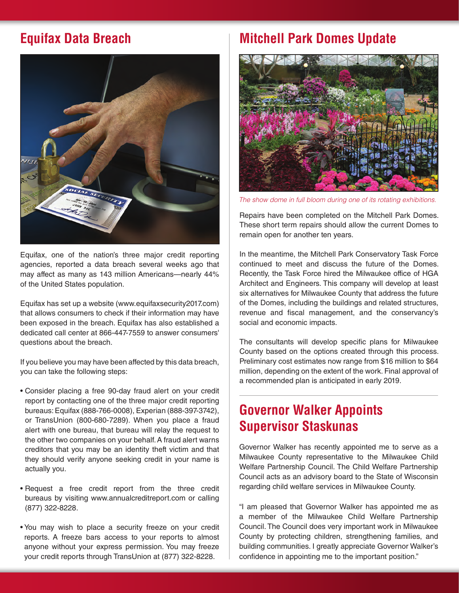

Equifax, one of the nation's three major credit reporting agencies, reported a data breach several weeks ago that may affect as many as 143 million Americans—nearly 44% of the United States population.

Equifax has set up a website (www.equifaxsecurity2017.com) that allows consumers to check if their information may have been exposed in the breach. Equifax has also established a dedicated call center at 866-447-7559 to answer consumers' questions about the breach.

If you believe you may have been affected by this data breach, you can take the following steps:

- Consider placing a free 90-day fraud alert on your credit report by contacting one of the three major credit reporting bureaus: Equifax (888-766-0008), Experian (888-397-3742), or TransUnion (800-680-7289). When you place a fraud alert with one bureau, that bureau will relay the request to the other two companies on your behalf. A fraud alert warns creditors that you may be an identity theft victim and that they should verify anyone seeking credit in your name is actually you.
- Request a free credit report from the three credit bureaus by visiting www.annualcreditreport.com or calling (877) 322-8228.
- You may wish to place a security freeze on your credit reports. A freeze bars access to your reports to almost anyone without your express permission. You may freeze your credit reports through TransUnion at (877) 322-8228.

## **Equifax Data Breach Mitchell Park Domes Update**



*The show dome in full bloom during one of its rotating exhibitions.* 

Repairs have been completed on the Mitchell Park Domes. These short term repairs should allow the current Domes to remain open for another ten years.

In the meantime, the Mitchell Park Conservatory Task Force continued to meet and discuss the future of the Domes. Recently, the Task Force hired the Milwaukee office of HGA Architect and Engineers. This company will develop at least six alternatives for Milwaukee County that address the future of the Domes, including the buildings and related structures, revenue and fiscal management, and the conservancy's social and economic impacts.

The consultants will develop specific plans for Milwaukee County based on the options created through this process. Preliminary cost estimates now range from \$16 million to \$64 million, depending on the extent of the work. Final approval of a recommended plan is anticipated in early 2019.

## **Governor Walker Appoints Supervisor Staskunas**

Governor Walker has recently appointed me to serve as a Milwaukee County representative to the Milwaukee Child Welfare Partnership Council. The Child Welfare Partnership Council acts as an advisory board to the State of Wisconsin regarding child welfare services in Milwaukee County.

"I am pleased that Governor Walker has appointed me as a member of the Milwaukee Child Welfare Partnership Council. The Council does very important work in Milwaukee County by protecting children, strengthening families, and building communities. I greatly appreciate Governor Walker's confidence in appointing me to the important position."